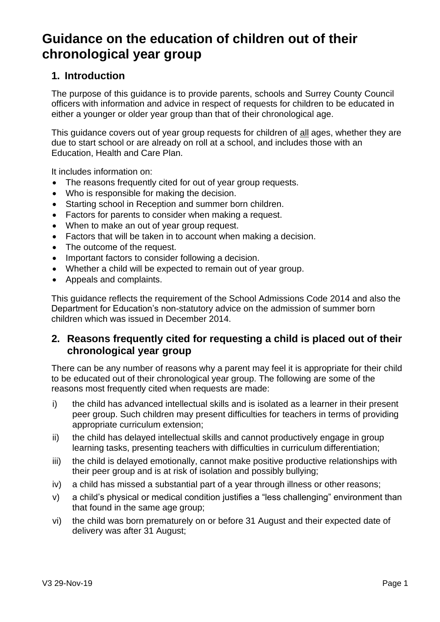# **Guidance on the education of children out of their chronological year group**

# **1. Introduction**

The purpose of this guidance is to provide parents, schools and Surrey County Council officers with information and advice in respect of requests for children to be educated in either a younger or older year group than that of their chronological age.

This guidance covers out of year group requests for children of all ages, whether they are due to start school or are already on roll at a school, and includes those with an Education, Health and Care Plan.

It includes information on:

- The reasons frequently cited for out of year group requests.
- Who is responsible for making the decision.
- Starting school in Reception and summer born children.
- Factors for parents to consider when making a request.
- When to make an out of year group request.
- Factors that will be taken in to account when making a decision.
- The outcome of the request.
- Important factors to consider following a decision.
- Whether a child will be expected to remain out of year group.
- Appeals and complaints.

This guidance reflects the requirement of the School Admissions Code 2014 and also the Department for Education's non-statutory advice on the admission of summer born children which was issued in December 2014.

# **2. Reasons frequently cited for requesting a child is placed out of their chronological year group**

There can be any number of reasons why a parent may feel it is appropriate for their child to be educated out of their chronological year group. The following are some of the reasons most frequently cited when requests are made:

- i) the child has advanced intellectual skills and is isolated as a learner in their present peer group. Such children may present difficulties for teachers in terms of providing appropriate curriculum extension;
- ii) the child has delayed intellectual skills and cannot productively engage in group learning tasks, presenting teachers with difficulties in curriculum differentiation;
- iii) the child is delayed emotionally, cannot make positive productive relationships with their peer group and is at risk of isolation and possibly bullying;
- iv) a child has missed a substantial part of a year through illness or other reasons;
- v) a child's physical or medical condition justifies a "less challenging" environment than that found in the same age group;
- vi) the child was born prematurely on or before 31 August and their expected date of delivery was after 31 August;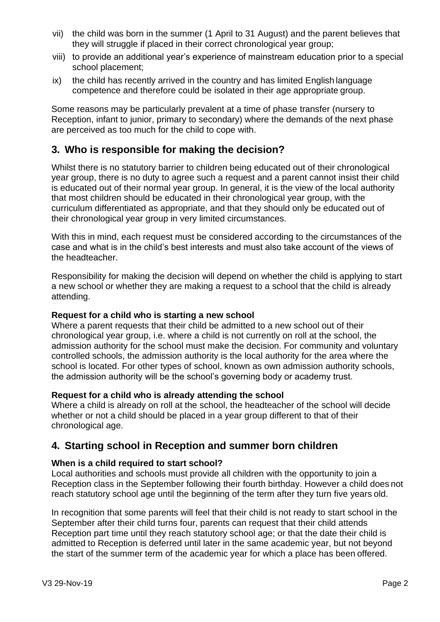- vii) the child was born in the summer (1 April to 31 August) and the parent believes that they will struggle if placed in their correct chronological year group;
- viii) to provide an additional year's experience of mainstream education prior to a special school placement;
- ix) the child has recently arrived in the country and has limited English language competence and therefore could be isolated in their age appropriate group.

Some reasons may be particularly prevalent at a time of phase transfer (nursery to Reception, infant to junior, primary to secondary) where the demands of the next phase are perceived as too much for the child to cope with.

# **3. Who is responsible for making the decision?**

Whilst there is no statutory barrier to children being educated out of their chronological year group, there is no duty to agree such a request and a parent cannot insist their child is educated out of their normal year group. In general, it is the view of the local authority that most children should be educated in their chronological year group, with the curriculum differentiated as appropriate, and that they should only be educated out of their chronological year group in very limited circumstances.

With this in mind, each request must be considered according to the circumstances of the case and what is in the child's best interests and must also take account of the views of the headteacher.

Responsibility for making the decision will depend on whether the child is applying to start a new school or whether they are making a request to a school that the child is already attending.

## **Request for a child who is starting a new school**

Where a parent requests that their child be admitted to a new school out of their chronological year group, i.e. where a child is not currently on roll at the school, the admission authority for the school must make the decision. For community and voluntary controlled schools, the admission authority is the local authority for the area where the school is located. For other types of school, known as own admission authority schools, the admission authority will be the school's governing body or academy trust.

## **Request for a child who is already attending the school**

Where a child is already on roll at the school, the headteacher of the school will decide whether or not a child should be placed in a year group different to that of their chronological age.

# **4. Starting school in Reception and summer born children**

## **When is a child required to start school?**

Local authorities and schools must provide all children with the opportunity to join a Reception class in the September following their fourth birthday. However a child does not reach statutory school age until the beginning of the term after they turn five years old.

In recognition that some parents will feel that their child is not ready to start school in the September after their child turns four, parents can request that their child attends Reception part time until they reach statutory school age; or that the date their child is admitted to Reception is deferred until later in the same academic year, but not beyond the start of the summer term of the academic year for which a place has been offered.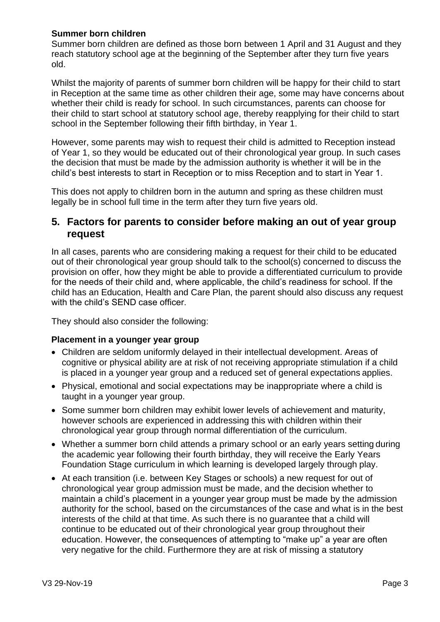## **Summer born children**

Summer born children are defined as those born between 1 April and 31 August and they reach statutory school age at the beginning of the September after they turn five years old.

Whilst the majority of parents of summer born children will be happy for their child to start in Reception at the same time as other children their age, some may have concerns about whether their child is ready for school. In such circumstances, parents can choose for their child to start school at statutory school age, thereby reapplying for their child to start school in the September following their fifth birthday, in Year 1.

However, some parents may wish to request their child is admitted to Reception instead of Year 1, so they would be educated out of their chronological year group. In such cases the decision that must be made by the admission authority is whether it will be in the child's best interests to start in Reception or to miss Reception and to start in Year 1.

This does not apply to children born in the autumn and spring as these children must legally be in school full time in the term after they turn five years old.

# **5. Factors for parents to consider before making an out of year group request**

In all cases, parents who are considering making a request for their child to be educated out of their chronological year group should talk to the school(s) concerned to discuss the provision on offer, how they might be able to provide a differentiated curriculum to provide for the needs of their child and, where applicable, the child's readiness for school. If the child has an Education, Health and Care Plan, the parent should also discuss any request with the child's SEND case officer.

They should also consider the following:

## **Placement in a younger year group**

- Children are seldom uniformly delayed in their intellectual development. Areas of cognitive or physical ability are at risk of not receiving appropriate stimulation if a child is placed in a younger year group and a reduced set of general expectations applies.
- Physical, emotional and social expectations may be inappropriate where a child is taught in a younger year group.
- Some summer born children may exhibit lower levels of achievement and maturity, however schools are experienced in addressing this with children within their chronological year group through normal differentiation of the curriculum.
- Whether a summer born child attends a primary school or an early years setting during the academic year following their fourth birthday, they will receive the Early Years Foundation Stage curriculum in which learning is developed largely through play.
- At each transition (i.e. between Key Stages or schools) a new request for out of chronological year group admission must be made, and the decision whether to maintain a child's placement in a younger year group must be made by the admission authority for the school, based on the circumstances of the case and what is in the best interests of the child at that time. As such there is no guarantee that a child will continue to be educated out of their chronological year group throughout their education. However, the consequences of attempting to "make up" a year are often very negative for the child. Furthermore they are at risk of missing a statutory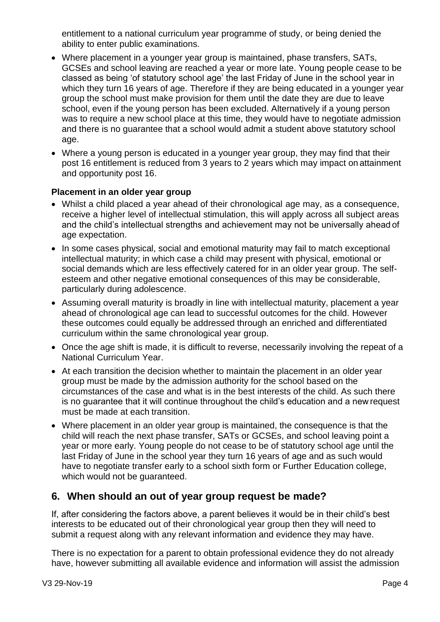entitlement to a national curriculum year programme of study, or being denied the ability to enter public examinations.

- Where placement in a younger year group is maintained, phase transfers, SATs, GCSEs and school leaving are reached a year or more late. Young people cease to be classed as being 'of statutory school age' the last Friday of June in the school year in which they turn 16 years of age. Therefore if they are being educated in a younger year group the school must make provision for them until the date they are due to leave school, even if the young person has been excluded. Alternatively if a young person was to require a new school place at this time, they would have to negotiate admission and there is no guarantee that a school would admit a student above statutory school age.
- Where a young person is educated in a younger year group, they may find that their post 16 entitlement is reduced from 3 years to 2 years which may impact on attainment and opportunity post 16.

## **Placement in an older year group**

- Whilst a child placed a year ahead of their chronological age may, as a consequence, receive a higher level of intellectual stimulation, this will apply across all subject areas and the child's intellectual strengths and achievement may not be universally ahead of age expectation.
- In some cases physical, social and emotional maturity may fail to match exceptional intellectual maturity; in which case a child may present with physical, emotional or social demands which are less effectively catered for in an older year group. The selfesteem and other negative emotional consequences of this may be considerable, particularly during adolescence.
- Assuming overall maturity is broadly in line with intellectual maturity, placement a year ahead of chronological age can lead to successful outcomes for the child. However these outcomes could equally be addressed through an enriched and differentiated curriculum within the same chronological year group.
- Once the age shift is made, it is difficult to reverse, necessarily involving the repeat of a National Curriculum Year.
- At each transition the decision whether to maintain the placement in an older year group must be made by the admission authority for the school based on the circumstances of the case and what is in the best interests of the child. As such there is no guarantee that it will continue throughout the child's education and a new request must be made at each transition.
- Where placement in an older year group is maintained, the consequence is that the child will reach the next phase transfer, SATs or GCSEs, and school leaving point a year or more early. Young people do not cease to be of statutory school age until the last Friday of June in the school year they turn 16 years of age and as such would have to negotiate transfer early to a school sixth form or Further Education college, which would not be guaranteed.

# **6. When should an out of year group request be made?**

If, after considering the factors above, a parent believes it would be in their child's best interests to be educated out of their chronological year group then they will need to submit a request along with any relevant information and evidence they may have.

There is no expectation for a parent to obtain professional evidence they do not already have, however submitting all available evidence and information will assist the admission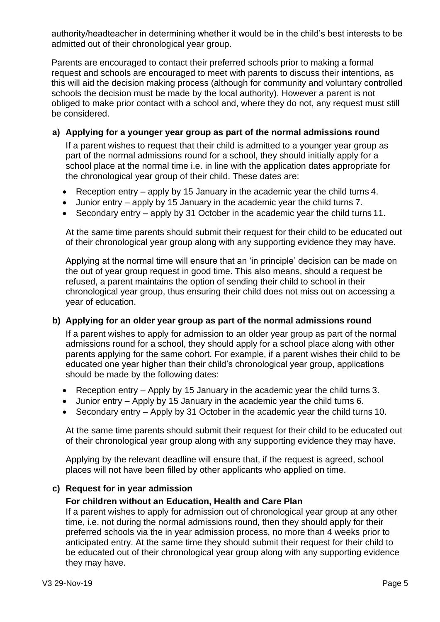authority/headteacher in determining whether it would be in the child's best interests to be admitted out of their chronological year group.

Parents are encouraged to contact their preferred schools prior to making a formal request and schools are encouraged to meet with parents to discuss their intentions, as this will aid the decision making process (although for community and voluntary controlled schools the decision must be made by the local authority). However a parent is not obliged to make prior contact with a school and, where they do not, any request must still be considered.

## **a) Applying for a younger year group as part of the normal admissions round**

If a parent wishes to request that their child is admitted to a younger year group as part of the normal admissions round for a school, they should initially apply for a school place at the normal time i.e. in line with the application dates appropriate for the chronological year group of their child. These dates are:

- Reception entry apply by 15 January in the academic year the child turns 4.
- Junior entry apply by 15 January in the academic year the child turns 7.
- Secondary entry apply by 31 October in the academic year the child turns 11.

At the same time parents should submit their request for their child to be educated out of their chronological year group along with any supporting evidence they may have.

Applying at the normal time will ensure that an 'in principle' decision can be made on the out of year group request in good time. This also means, should a request be refused, a parent maintains the option of sending their child to school in their chronological year group, thus ensuring their child does not miss out on accessing a year of education.

## **b) Applying for an older year group as part of the normal admissions round**

If a parent wishes to apply for admission to an older year group as part of the normal admissions round for a school, they should apply for a school place along with other parents applying for the same cohort. For example, if a parent wishes their child to be educated one year higher than their child's chronological year group, applications should be made by the following dates:

- Reception entry Apply by 15 January in the academic year the child turns 3.
- Junior entry Apply by 15 January in the academic year the child turns 6.
- Secondary entry Apply by 31 October in the academic year the child turns 10.

At the same time parents should submit their request for their child to be educated out of their chronological year group along with any supporting evidence they may have.

Applying by the relevant deadline will ensure that, if the request is agreed, school places will not have been filled by other applicants who applied on time.

## **c) Request for in year admission**

#### **For children without an Education, Health and Care Plan**

If a parent wishes to apply for admission out of chronological year group at any other time, i.e. not during the normal admissions round, then they should apply for their preferred schools via the in year admission process, no more than 4 weeks prior to anticipated entry. At the same time they should submit their request for their child to be educated out of their chronological year group along with any supporting evidence they may have.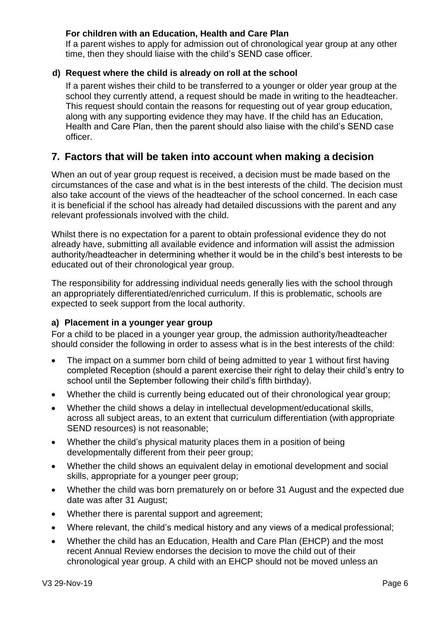## **For children with an Education, Health and Care Plan**

If a parent wishes to apply for admission out of chronological year group at any other time, then they should liaise with the child's SEND case officer.

## **d) Request where the child is already on roll at the school**

If a parent wishes their child to be transferred to a younger or older year group at the school they currently attend, a request should be made in writing to the headteacher. This request should contain the reasons for requesting out of year group education, along with any supporting evidence they may have. If the child has an Education, Health and Care Plan, then the parent should also liaise with the child's SEND case officer.

# **7. Factors that will be taken into account when making a decision**

When an out of year group request is received, a decision must be made based on the circumstances of the case and what is in the best interests of the child. The decision must also take account of the views of the headteacher of the school concerned. In each case it is beneficial if the school has already had detailed discussions with the parent and any relevant professionals involved with the child.

Whilst there is no expectation for a parent to obtain professional evidence they do not already have, submitting all available evidence and information will assist the admission authority/headteacher in determining whether it would be in the child's best interests to be educated out of their chronological year group.

The responsibility for addressing individual needs generally lies with the school through an appropriately differentiated/enriched curriculum. If this is problematic, schools are expected to seek support from the local authority.

## **a) Placement in a younger year group**

For a child to be placed in a younger year group, the admission authority/headteacher should consider the following in order to assess what is in the best interests of the child:

- The impact on a summer born child of being admitted to year 1 without first having completed Reception (should a parent exercise their right to delay their child's entry to school until the September following their child's fifth birthday).
- Whether the child is currently being educated out of their chronological year group;
- Whether the child shows a delay in intellectual development/educational skills, across all subject areas, to an extent that curriculum differentiation (with appropriate SEND resources) is not reasonable;
- Whether the child's physical maturity places them in a position of being developmentally different from their peer group;
- Whether the child shows an equivalent delay in emotional development and social skills, appropriate for a younger peer group;
- Whether the child was born prematurely on or before 31 August and the expected due date was after 31 August;
- Whether there is parental support and agreement;
- Where relevant, the child's medical history and any views of a medical professional;
- Whether the child has an Education, Health and Care Plan (EHCP) and the most recent Annual Review endorses the decision to move the child out of their chronological year group. A child with an EHCP should not be moved unless an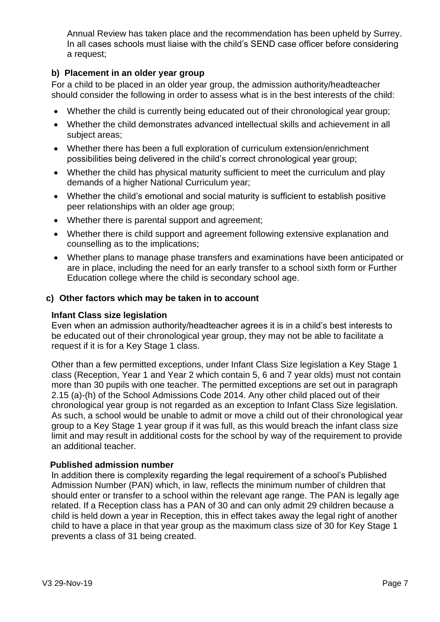Annual Review has taken place and the recommendation has been upheld by Surrey. In all cases schools must liaise with the child's SEND case officer before considering a request;

## **b) Placement in an older year group**

For a child to be placed in an older year group, the admission authority/headteacher should consider the following in order to assess what is in the best interests of the child:

- Whether the child is currently being educated out of their chronological year group;
- Whether the child demonstrates advanced intellectual skills and achievement in all subject areas;
- Whether there has been a full exploration of curriculum extension/enrichment possibilities being delivered in the child's correct chronological year group;
- Whether the child has physical maturity sufficient to meet the curriculum and play demands of a higher National Curriculum year;
- Whether the child's emotional and social maturity is sufficient to establish positive peer relationships with an older age group;
- Whether there is parental support and agreement;
- Whether there is child support and agreement following extensive explanation and counselling as to the implications;
- Whether plans to manage phase transfers and examinations have been anticipated or are in place, including the need for an early transfer to a school sixth form or Further Education college where the child is secondary school age.

## **c) Other factors which may be taken in to account**

## **Infant Class size legislation**

Even when an admission authority/headteacher agrees it is in a child's best interests to be educated out of their chronological year group, they may not be able to facilitate a request if it is for a Key Stage 1 class.

Other than a few permitted exceptions, under Infant Class Size legislation a Key Stage 1 class (Reception, Year 1 and Year 2 which contain 5, 6 and 7 year olds) must not contain more than 30 pupils with one teacher. The permitted exceptions are set out in paragraph 2.15 (a)-(h) of the School Admissions Code 2014. Any other child placed out of their chronological year group is not regarded as an exception to Infant Class Size legislation. As such, a school would be unable to admit or move a child out of their chronological year group to a Key Stage 1 year group if it was full, as this would breach the infant class size limit and may result in additional costs for the school by way of the requirement to provide an additional teacher.

## **Published admission number**

In addition there is complexity regarding the legal requirement of a school's Published Admission Number (PAN) which, in law, reflects the minimum number of children that should enter or transfer to a school within the relevant age range. The PAN is legally age related. If a Reception class has a PAN of 30 and can only admit 29 children because a child is held down a year in Reception, this in effect takes away the legal right of another child to have a place in that year group as the maximum class size of 30 for Key Stage 1 prevents a class of 31 being created.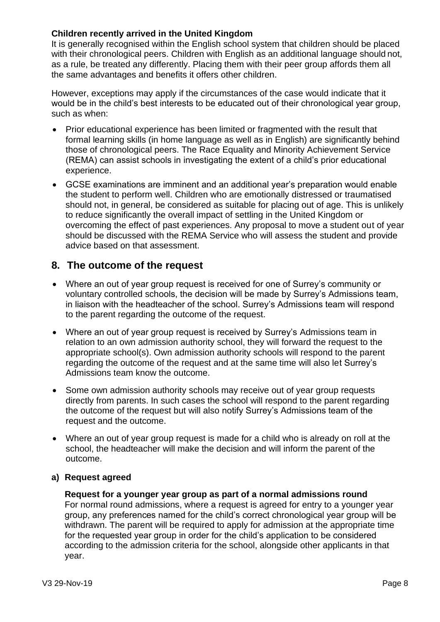## **Children recently arrived in the United Kingdom**

It is generally recognised within the English school system that children should be placed with their chronological peers. Children with English as an additional language should not, as a rule, be treated any differently. Placing them with their peer group affords them all the same advantages and benefits it offers other children.

However, exceptions may apply if the circumstances of the case would indicate that it would be in the child's best interests to be educated out of their chronological year group, such as when:

- Prior educational experience has been limited or fragmented with the result that formal learning skills (in home language as well as in English) are significantly behind those of chronological peers. The Race Equality and Minority Achievement Service (REMA) can assist schools in investigating the extent of a child's prior educational experience.
- GCSE examinations are imminent and an additional year's preparation would enable the student to perform well. Children who are emotionally distressed or traumatised should not, in general, be considered as suitable for placing out of age. This is unlikely to reduce significantly the overall impact of settling in the United Kingdom or overcoming the effect of past experiences. Any proposal to move a student out of year should be discussed with the REMA Service who will assess the student and provide advice based on that assessment.

# **8. The outcome of the request**

- Where an out of year group request is received for one of Surrey's community or voluntary controlled schools, the decision will be made by Surrey's Admissions team, in liaison with the headteacher of the school. Surrey's Admissions team will respond to the parent regarding the outcome of the request.
- Where an out of year group request is received by Surrey's Admissions team in relation to an own admission authority school, they will forward the request to the appropriate school(s). Own admission authority schools will respond to the parent regarding the outcome of the request and at the same time will also let Surrey's Admissions team know the outcome.
- Some own admission authority schools may receive out of year group requests directly from parents. In such cases the school will respond to the parent regarding the outcome of the request but will also notify Surrey's Admissions team of the request and the outcome.
- Where an out of year group request is made for a child who is already on roll at the school, the headteacher will make the decision and will inform the parent of the outcome.

## **a) Request agreed**

## **Request for a younger year group as part of a normal admissions round**

For normal round admissions, where a request is agreed for entry to a younger year group, any preferences named for the child's correct chronological year group will be withdrawn. The parent will be required to apply for admission at the appropriate time for the requested year group in order for the child's application to be considered according to the admission criteria for the school, alongside other applicants in that year.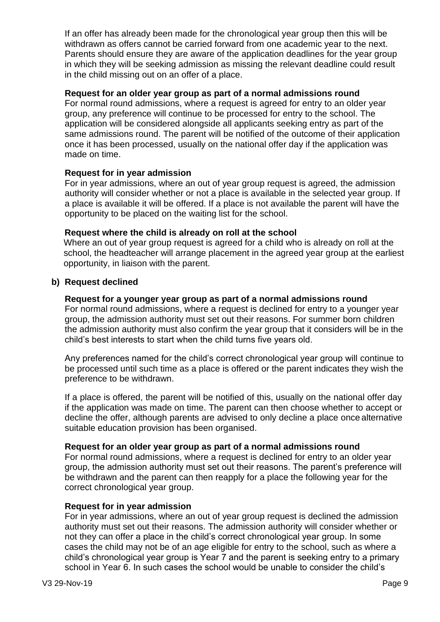If an offer has already been made for the chronological year group then this will be withdrawn as offers cannot be carried forward from one academic year to the next. Parents should ensure they are aware of the application deadlines for the year group in which they will be seeking admission as missing the relevant deadline could result in the child missing out on an offer of a place.

## **Request for an older year group as part of a normal admissions round**

For normal round admissions, where a request is agreed for entry to an older year group, any preference will continue to be processed for entry to the school. The application will be considered alongside all applicants seeking entry as part of the same admissions round. The parent will be notified of the outcome of their application once it has been processed, usually on the national offer day if the application was made on time.

## **Request for in year admission**

For in year admissions, where an out of year group request is agreed, the admission authority will consider whether or not a place is available in the selected year group. If a place is available it will be offered. If a place is not available the parent will have the opportunity to be placed on the waiting list for the school.

## **Request where the child is already on roll at the school**

Where an out of year group request is agreed for a child who is already on roll at the school, the headteacher will arrange placement in the agreed year group at the earliest opportunity, in liaison with the parent.

## **b) Request declined**

#### **Request for a younger year group as part of a normal admissions round**

For normal round admissions, where a request is declined for entry to a younger year group, the admission authority must set out their reasons. For summer born children the admission authority must also confirm the year group that it considers will be in the child's best interests to start when the child turns five years old.

Any preferences named for the child's correct chronological year group will continue to be processed until such time as a place is offered or the parent indicates they wish the preference to be withdrawn.

If a place is offered, the parent will be notified of this, usually on the national offer day if the application was made on time. The parent can then choose whether to accept or decline the offer, although parents are advised to only decline a place once alternative suitable education provision has been organised.

## **Request for an older year group as part of a normal admissions round**

For normal round admissions, where a request is declined for entry to an older year group, the admission authority must set out their reasons. The parent's preference will be withdrawn and the parent can then reapply for a place the following year for the correct chronological year group.

#### **Request for in year admission**

For in year admissions, where an out of year group request is declined the admission authority must set out their reasons. The admission authority will consider whether or not they can offer a place in the child's correct chronological year group. In some cases the child may not be of an age eligible for entry to the school, such as where a child's chronological year group is Year 7 and the parent is seeking entry to a primary school in Year 6. In such cases the school would be unable to consider the child's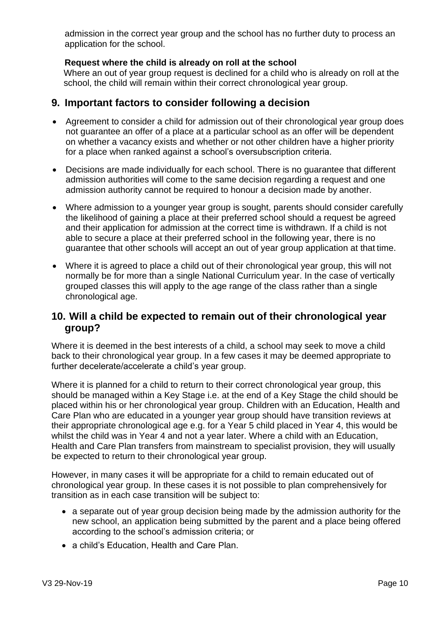admission in the correct year group and the school has no further duty to process an application for the school.

## **Request where the child is already on roll at the school**

Where an out of year group request is declined for a child who is already on roll at the school, the child will remain within their correct chronological year group.

# **9. Important factors to consider following a decision**

- Agreement to consider a child for admission out of their chronological year group does not guarantee an offer of a place at a particular school as an offer will be dependent on whether a vacancy exists and whether or not other children have a higher priority for a place when ranked against a school's oversubscription criteria.
- Decisions are made individually for each school. There is no guarantee that different admission authorities will come to the same decision regarding a request and one admission authority cannot be required to honour a decision made by another.
- Where admission to a younger year group is sought, parents should consider carefully the likelihood of gaining a place at their preferred school should a request be agreed and their application for admission at the correct time is withdrawn. If a child is not able to secure a place at their preferred school in the following year, there is no guarantee that other schools will accept an out of year group application at that time.
- Where it is agreed to place a child out of their chronological year group, this will not normally be for more than a single National Curriculum year. In the case of vertically grouped classes this will apply to the age range of the class rather than a single chronological age.

# **10. Will a child be expected to remain out of their chronological year group?**

Where it is deemed in the best interests of a child, a school may seek to move a child back to their chronological year group. In a few cases it may be deemed appropriate to further decelerate/accelerate a child's year group.

Where it is planned for a child to return to their correct chronological year group, this should be managed within a Key Stage i.e. at the end of a Key Stage the child should be placed within his or her chronological year group. Children with an Education, Health and Care Plan who are educated in a younger year group should have transition reviews at their appropriate chronological age e.g. for a Year 5 child placed in Year 4, this would be whilst the child was in Year 4 and not a year later. Where a child with an Education, Health and Care Plan transfers from mainstream to specialist provision, they will usually be expected to return to their chronological year group.

However, in many cases it will be appropriate for a child to remain educated out of chronological year group. In these cases it is not possible to plan comprehensively for transition as in each case transition will be subject to:

- a separate out of year group decision being made by the admission authority for the new school, an application being submitted by the parent and a place being offered according to the school's admission criteria; or
- a child's Education, Health and Care Plan.